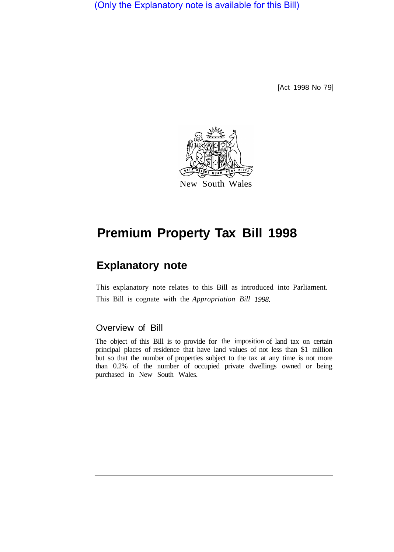(Only the Explanatory note is available for this Bill)

[Act 1998 No 79]



# **Premium Property Tax Bill 1998**

# **Explanatory note**

This explanatory note relates to this Bill as introduced into Parliament. This Bill is cognate with the *Appropriation Bill 1998.* 

# Overview of Bill

The object of this Bill is to provide for the imposition of land tax on certain principal places of residence that have land values of not less than \$1 million but so that the number of properties subject to the tax at any time is not more than 0.2% of the number of occupied private dwellings owned or being purchased in New South Wales.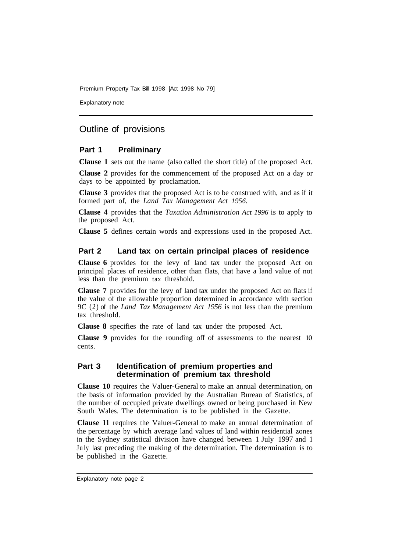Premium Property Tax Bill 1998 [Act 1998 No 79]

Explanatory note

# Outline of provisions

#### **Part 1 Preliminary**

**Clause 1** sets out the name (also called the short title) of the proposed Act.

**Clause 2** provides for the commencement of the proposed Act on a day or days to be appointed by proclamation.

**Clause 3** provides that the proposed Act is to be construed with, and as if it formed part of, the *Land Tax Management Act 1956.* 

**Clause 4** provides that the *Taxation Administration Act 1996* is to apply to the proposed Act.

**Clause 5** defines certain words and expressions used in the proposed Act.

#### **Part 2 Land tax on certain principal places of residence**

**Clause 6** provides for the levy of land tax under the proposed Act on principal places of residence, other than flats, that have a land value of not less than the premium tax threshold.

**Clause 7** provides for the levy of land tax under the proposed Act on flats if the value of the allowable proportion determined in accordance with section 9C (2) of the *Land Tax Management Act 1956* is not less than the premium tax threshold.

**Clause 8** specifies the rate of land tax under the proposed Act.

**Clause 9** provides for the rounding off of assessments to the nearest 10 cents.

#### **Part 3 Identification of premium properties and determination of premium tax threshold**

**Clause 10** requires the Valuer-General to make an annual determination, on the basis of information provided by the Australian Bureau of Statistics, of the number of occupied private dwellings owned or being purchased in New South Wales. The determination is to be published in the Gazette.

**Clause 11** requires the Valuer-General to make an annual determination of the percentage by which average land values of land within residential zones in the Sydney statistical division have changed between 1 July 1997 and 1 July last preceding the making of the determination. The determination is to be published in the Gazette.